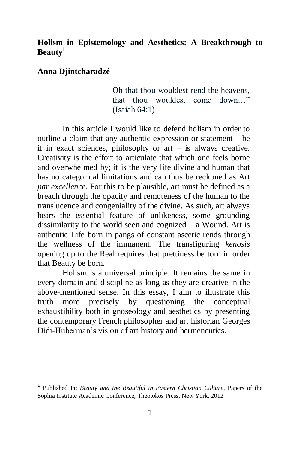### **Holism in Epistemology and Aesthetics: A Breakthrough to Beauty<sup>1</sup>**

#### **Anna Djintcharadzé**

 $\overline{a}$ 

Oh that thou wouldest rend the heavens, that thou wouldest come down…" (Isaiah 64:1)

In this article I would like to defend holism in order to outline a claim that any authentic expression or statement – be it in exact sciences, philosophy or  $art - is$  always creative. Creativity is the effort to articulate that which one feels borne and overwhelmed by; it is the very life divine and human that has no categorical limitations and can thus be reckoned as Art *par excellence*. For this to be plausible, art must be defined as a breach through the opacity and remoteness of the human to the translucence and congeniality of the divine. As such, art always bears the essential feature of unlikeness, some grounding dissimilarity to the world seen and cognized – a Wound. Art is authentic Life born in pangs of constant ascetic rends through the wellness of the immanent. The transfiguring *kenosis* opening up to the Real requires that prettiness be torn in order that Beauty be born.

Holism is a universal principle. It remains the same in every domain and discipline as long as they are creative in the above-mentioned sense. In this essay, I aim to illustrate this truth more precisely by questioning the conceptual exhaustibility both in gnoseology and aesthetics by presenting the contemporary French philosopher and art historian Georges Didi-Huberman's vision of art history and hermeneutics.

<sup>1</sup> Published In: *Beauty and the Beautiful in Eastern Christian Culture*, Papers of the Sophia Institute Academic Conference, Theotokos Press, New York, 2012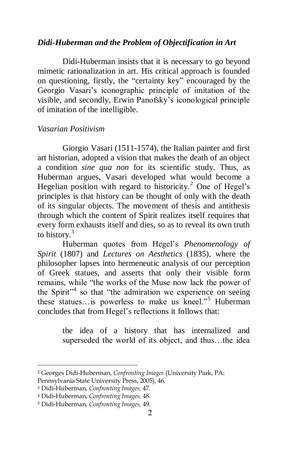### *Didi-Huberman and the Problem of Objectification in Art*

Didi-Huberman insists that it is necessary to go beyond mimetic rationalization in art. His critical approach is founded on questioning, firstly, the "certainty key" encouraged by the Georgio Vasari's iconographic principle of imitation of the visible, and secondly, Erwin Panofsky's iconological principle of imitation of the intelligible.

#### *Vasarian Positivism*

Giorgio Vasari (1511-1574), the Italian painter and first art historian, adopted a vision that makes the death of an object a condition *sine qua non* for its scientific study. Thus, as Huberman argues, Vasari developed what would become a Hegelian position with regard to historicity.<sup>2</sup> One of Hegel's principles is that history can be thought of only with the death of its singular objects. The movement of thesis and antithesis through which the content of Spirit realizes itself requires that every form exhausts itself and dies, so as to reveal its own truth to history.<sup>3</sup>

Huberman quotes from Hegel's *Phenomenology of Spirit* (1807) and *Lectures on Aesthetics* (1835), where the philosopher lapses into hermeneutic analysis of our perception of Greek statues, and asserts that only their visible form remains, while "the works of the Muse now lack the power of the Spirit"<sup>4</sup> so that "the admiration we experience on seeing these statues…is powerless to make us kneel."<sup>5</sup> Huberman concludes that from Hegel's reflections it follows that:

> the idea of a history that has internalized and superseded the world of its object, and thus…the idea

 $\overline{a}$ 

<sup>2</sup> Georges Didi-Huberman, *Confronting Images* (University Park, PA:

Pennsylvania State University Press, 2005), 46.

<sup>3</sup> Didi-Huberman, *Confronting Images,* 47.

<sup>4</sup> Didi-Huberman, *Confronting Images,* 48.

<sup>5</sup> Didi-Huberman, *Confronting Images,* 49.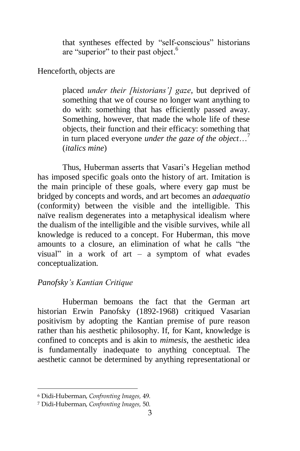that syntheses effected by "self-conscious" historians are "superior" to their past object.<sup>6</sup>

Henceforth, objects are

placed *under their [historians'] gaze*, but deprived of something that we of course no longer want anything to do with: something that has efficiently passed away. Something, however, that made the whole life of these objects, their function and their efficacy: something that in turn placed everyone *under the gaze of the object*…<sup>7</sup> (*italics mine*)

Thus, Huberman asserts that Vasari's Hegelian method has imposed specific goals onto the history of art. Imitation is the main principle of these goals, where every gap must be bridged by concepts and words, and art becomes an *adaequatio* (conformity) between the visible and the intelligible. This naïve realism degenerates into a metaphysical idealism where the dualism of the intelligible and the visible survives, while all knowledge is reduced to a concept. For Huberman, this move amounts to a closure, an elimination of what he calls "the visual" in a work of art – a symptom of what evades conceptualization.

# *Panofsky's Kantian Critique*

Huberman bemoans the fact that the German art historian Erwin Panofsky (1892-1968) critiqued Vasarian positivism by adopting the Kantian premise of pure reason rather than his aesthetic philosophy. If, for Kant, knowledge is confined to concepts and is akin to *mimesis*, the aesthetic idea is fundamentally inadequate to anything conceptual. The aesthetic cannot be determined by anything representational or

<sup>6</sup> Didi-Huberman, *Confronting Images,* 49.

<sup>7</sup> Didi-Huberman, *Confronting Images,* 50.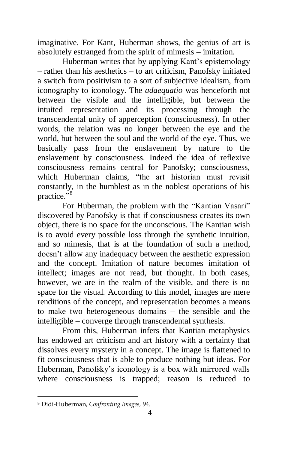imaginative. For Kant, Huberman shows, the genius of art is absolutely estranged from the spirit of mimesis – imitation.

Huberman writes that by applying Kant's epistemology – rather than his aesthetics – to art criticism, Panofsky initiated a switch from positivism to a sort of subjective idealism, from iconography to iconology. The *adaequatio* was henceforth not between the visible and the intelligible, but between the intuited representation and its processing through the transcendental unity of apperception (consciousness). In other words, the relation was no longer between the eye and the world, but between the soul and the world of the eye. Thus, we basically pass from the enslavement by nature to the enslavement by consciousness. Indeed the idea of reflexive consciousness remains central for Panofsky; consciousness, which Huberman claims, "the art historian must revisit constantly, in the humblest as in the noblest operations of his practice."<sup>8</sup>

For Huberman, the problem with the "Kantian Vasari" discovered by Panofsky is that if consciousness creates its own object, there is no space for the unconscious. The Kantian wish is to avoid every possible loss through the synthetic intuition, and so mimesis, that is at the foundation of such a method, doesn't allow any inadequacy between the aesthetic expression and the concept. Imitation of nature becomes imitation of intellect; images are not read, but thought. In both cases, however, we are in the realm of the visible, and there is no space for the visual. According to this model, images are mere renditions of the concept, and representation becomes a means to make two heterogeneous domains – the sensible and the intelligible – converge through transcendental synthesis.

From this, Huberman infers that Kantian metaphysics has endowed art criticism and art history with a certainty that dissolves every mystery in a concept. The image is flattened to fit consciousness that is able to produce nothing but ideas. For Huberman, Panofsky's iconology is a box with mirrored walls where consciousness is trapped; reason is reduced to

<sup>8</sup> Didi-Huberman, *Confronting Images,* 94.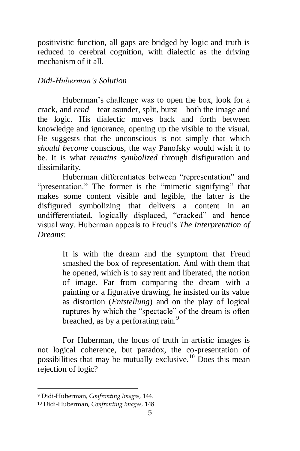positivistic function, all gaps are bridged by logic and truth is reduced to cerebral cognition, with dialectic as the driving mechanism of it all.

## *Didi-Huberman's Solution*

Huberman's challenge was to open the box, look for a crack, and *rend* – tear asunder, split, burst – both the image and the logic. His dialectic moves back and forth between knowledge and ignorance, opening up the visible to the visual. He suggests that the unconscious is not simply that which *should become* conscious, the way Panofsky would wish it to be. It is what *remains symbolized* through disfiguration and dissimilarity.

Huberman differentiates between "representation" and "presentation." The former is the "mimetic signifying" that makes some content visible and legible, the latter is the disfigured symbolizing that delivers a content in an undifferentiated, logically displaced, "cracked" and hence visual way. Huberman appeals to Freud's *The Interpretation of Dreams*:

> It is with the dream and the symptom that Freud smashed the box of representation. And with them that he opened, which is to say rent and liberated, the notion of image. Far from comparing the dream with a painting or a figurative drawing, he insisted on its value as distortion (*Entstellung*) and on the play of logical ruptures by which the "spectacle" of the dream is often breached, as by a perforating rain.<sup>9</sup>

For Huberman, the locus of truth in artistic images is not logical coherence, but paradox, the co-presentation of possibilities that may be mutually exclusive.<sup>10</sup> Does this mean rejection of logic?

<sup>9</sup> Didi-Huberman, *Confronting Images,* 144.

<sup>10</sup> Didi-Huberman, *Confronting Images,* 148.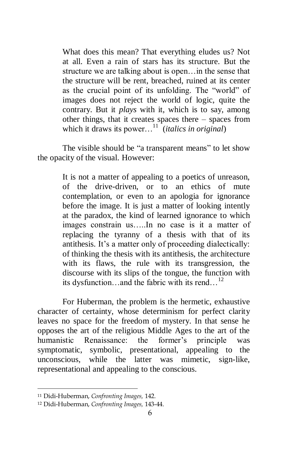What does this mean? That everything eludes us? Not at all. Even a rain of stars has its structure. But the structure we are talking about is open…in the sense that the structure will be rent, breached, ruined at its center as the crucial point of its unfolding. The "world" of images does not reject the world of logic, quite the contrary. But it *plays* with it, which is to say, among other things, that it creates spaces there – spaces from which it draws its power...<sup>11</sup> (*italics in original*)

The visible should be "a transparent means" to let show the opacity of the visual. However:

> It is not a matter of appealing to a poetics of unreason, of the drive-driven, or to an ethics of mute contemplation, or even to an apologia for ignorance before the image. It is just a matter of looking intently at the paradox, the kind of learned ignorance to which images constrain us…..In no case is it a matter of replacing the tyranny of a thesis with that of its antithesis. It's a matter only of proceeding dialectically: of thinking the thesis with its antithesis, the architecture with its flaws, the rule with its transgression, the discourse with its slips of the tongue, the function with its dysfunction…and the fabric with its rend…<sup>12</sup>

For Huberman, the problem is the hermetic, exhaustive character of certainty, whose determinism for perfect clarity leaves no space for the freedom of mystery. In that sense he opposes the art of the religious Middle Ages to the art of the humanistic Renaissance: the former's principle was symptomatic, symbolic, presentational, appealing to the unconscious*,* while the latter was mimetic, sign-like, representational and appealing to the conscious.

<sup>11</sup> Didi-Huberman, *Confronting Images,* 142.

<sup>12</sup> Didi-Huberman, *Confronting Images,* 143-44.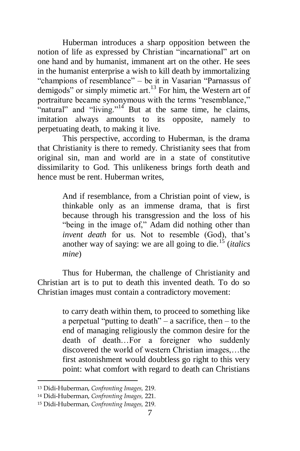Huberman introduces a sharp opposition between the notion of life as expressed by Christian "incarnational" art on one hand and by humanist, immanent art on the other. He sees in the humanist enterprise a wish to kill death by immortalizing "champions of resemblance" – be it in Vasarian "Parnassus of demigods" or simply mimetic art. $^{13}$  For him, the Western art of portraiture became synonymous with the terms "resemblance," "natural" and "living."<sup>14</sup> But at the same time, he claims, imitation always amounts to its opposite, namely to perpetuating death, to making it live.

This perspective, according to Huberman, is the drama that Christianity is there to remedy. Christianity sees that from original sin, man and world are in a state of constitutive dissimilarity to God*.* This unlikeness brings forth death and hence must be rent. Huberman writes,

> And if resemblance, from a Christian point of view, is thinkable only as an immense drama, that is first because through his transgression and the loss of his "being in the image of," Adam did nothing other than *invent death* for us. Not to resemble (God), that's another way of saying: we are all going to die.<sup>15</sup> (*italics mine*)

Thus for Huberman, the challenge of Christianity and Christian art is to put to death this invented death. To do so Christian images must contain a contradictory movement:

> to carry death within them, to proceed to something like a perpetual "putting to death" – a sacrifice, then – to the end of managing religiously the common desire for the death of death…For a foreigner who suddenly discovered the world of western Christian images,…the first astonishment would doubtless go right to this very point: what comfort with regard to death can Christians

<sup>13</sup> Didi-Huberman, *Confronting Images,* 219.

<sup>14</sup> Didi-Huberman, *Confronting Images,* 221.

<sup>15</sup> Didi-Huberman, *Confronting Images,* 219.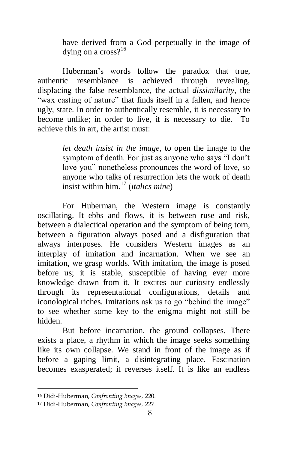have derived from a God perpetually in the image of dying on a  $\csc 2^{16}$ 

Huberman's words follow the paradox that true, authentic resemblance is achieved through revealing, displacing the false resemblance, the actual *dissimilarity*, the "wax casting of nature" that finds itself in a fallen, and hence ugly, state. In order to authentically resemble, it is necessary to become unlike; in order to live, it is necessary to die. To achieve this in art, the artist must:

> *let death insist in the image,* to open the image to the symptom of death. For just as anyone who says "I don't love you" nonetheless pronounces the word of love, so anyone who talks of resurrection lets the work of death insist within him. <sup>17</sup> (*italics mine*)

For Huberman, the Western image is constantly oscillating. It ebbs and flows, it is between ruse and risk, between a dialectical operation and the symptom of being torn, between a figuration always posed and a disfiguration that always interposes. He considers Western images as an interplay of imitation and incarnation. When we see an imitation, we grasp worlds. With imitation, the image is posed before us; it is stable, susceptible of having ever more knowledge drawn from it. It excites our curiosity endlessly through its representational configurations, details and iconological riches. Imitations ask us to go "behind the image" to see whether some key to the enigma might not still be hidden.

But before incarnation, the ground collapses. There exists a place, a rhythm in which the image seeks something like its own collapse. We stand in front of the image as if before a gaping limit, a disintegrating place. Fascination becomes exasperated; it reverses itself. It is like an endless

<sup>16</sup> Didi-Huberman, *Confronting Images,* 220.

<sup>17</sup> Didi-Huberman, *Confronting Images,* 227.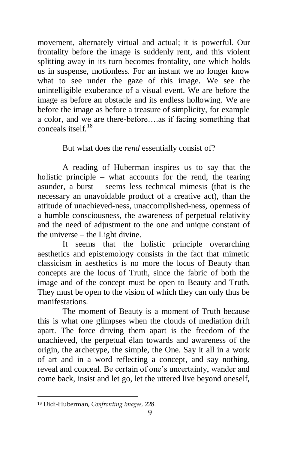movement, alternately virtual and actual; it is powerful. Our frontality before the image is suddenly rent, and this violent splitting away in its turn becomes frontality, one which holds us in suspense, motionless. For an instant we no longer know what to see under the gaze of this image. We see the unintelligible exuberance of a visual event. We are before the image as before an obstacle and its endless hollowing. We are before the image as before a treasure of simplicity, for example a color, and we are there-before….as if facing something that conceals itself.<sup>18</sup>

## But what does the *rend* essentially consist of?

A reading of Huberman inspires us to say that the holistic principle – what accounts for the rend, the tearing asunder, a burst – seems less technical mimesis (that is the necessary an unavoidable product of a creative act), than the attitude of unachieved-ness, unaccomplished-ness, openness of a humble consciousness, the awareness of perpetual relativity and the need of adjustment to the one and unique constant of the universe – the Light divine.

It seems that the holistic principle overarching aesthetics and epistemology consists in the fact that mimetic classicism in aesthetics is no more the locus of Beauty than concepts are the locus of Truth, since the fabric of both the image and of the concept must be open to Beauty and Truth. They must be open to the vision of which they can only thus be manifestations.

The moment of Beauty is a moment of Truth because this is what one glimpses when the clouds of mediation drift apart. The force driving them apart is the freedom of the unachieved, the perpetual élan towards and awareness of the origin, the archetype, the simple, the One. Say it all in a work of art and in a word reflecting a concept, and say nothing, reveal and conceal. Be certain of one's uncertainty, wander and come back, insist and let go, let the uttered live beyond oneself,

 $\overline{\phantom{a}}$ <sup>18</sup> Didi-Huberman, *Confronting Images,* 228.